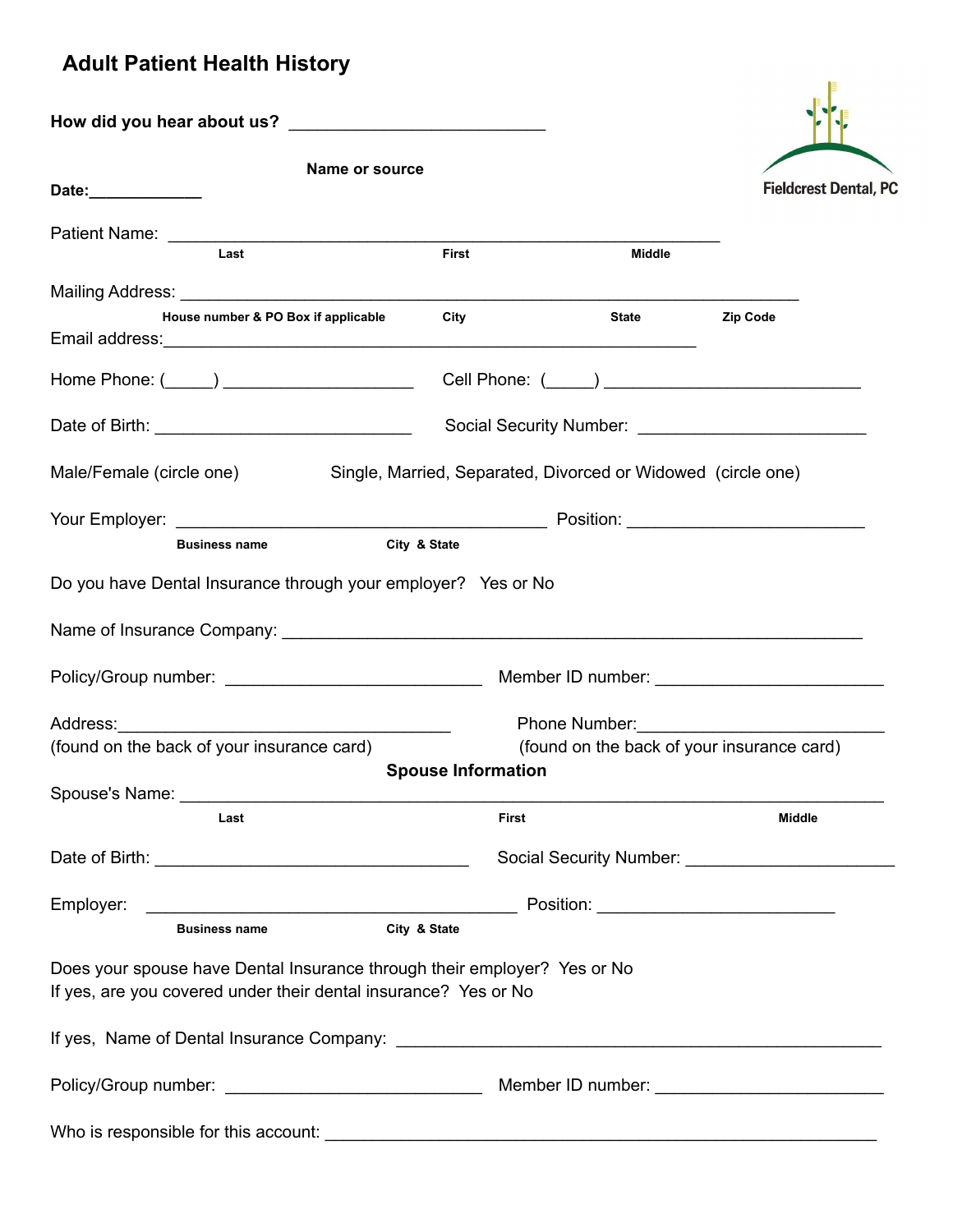## **Adult Patient Health History**

| Name or source<br>Date:______________                                                                                                       |                           |                      | <b>Fieldcrest Dental, PC</b>                    |
|---------------------------------------------------------------------------------------------------------------------------------------------|---------------------------|----------------------|-------------------------------------------------|
| Last                                                                                                                                        | <b>First</b>              | Middle               |                                                 |
|                                                                                                                                             |                           |                      |                                                 |
| House number & PO Box if applicable                                                                                                         | City                      | <b>State Example</b> | Zip Code                                        |
| Home Phone: (_____) _______________________                                                                                                 |                           |                      |                                                 |
|                                                                                                                                             |                           |                      |                                                 |
| Male/Female (circle one) Single, Married, Separated, Divorced or Widowed (circle one)                                                       |                           |                      |                                                 |
|                                                                                                                                             |                           |                      |                                                 |
| <b>Business name</b>                                                                                                                        | City & State              |                      |                                                 |
| Do you have Dental Insurance through your employer? Yes or No                                                                               |                           |                      |                                                 |
|                                                                                                                                             |                           |                      |                                                 |
|                                                                                                                                             |                           |                      |                                                 |
|                                                                                                                                             |                           |                      |                                                 |
| (found on the back of your insurance card)                                                                                                  |                           |                      | (found on the back of your insurance card)      |
|                                                                                                                                             | <b>Spouse Information</b> |                      |                                                 |
| Last                                                                                                                                        | <b>First</b>              |                      | <b>Middle</b>                                   |
|                                                                                                                                             |                           |                      | Social Security Number: Social Security Number: |
|                                                                                                                                             |                           |                      |                                                 |
| <b>Business name</b>                                                                                                                        | City & State              |                      |                                                 |
| Does your spouse have Dental Insurance through their employer? Yes or No<br>If yes, are you covered under their dental insurance? Yes or No |                           |                      |                                                 |
|                                                                                                                                             |                           |                      |                                                 |
|                                                                                                                                             |                           |                      |                                                 |
|                                                                                                                                             |                           |                      |                                                 |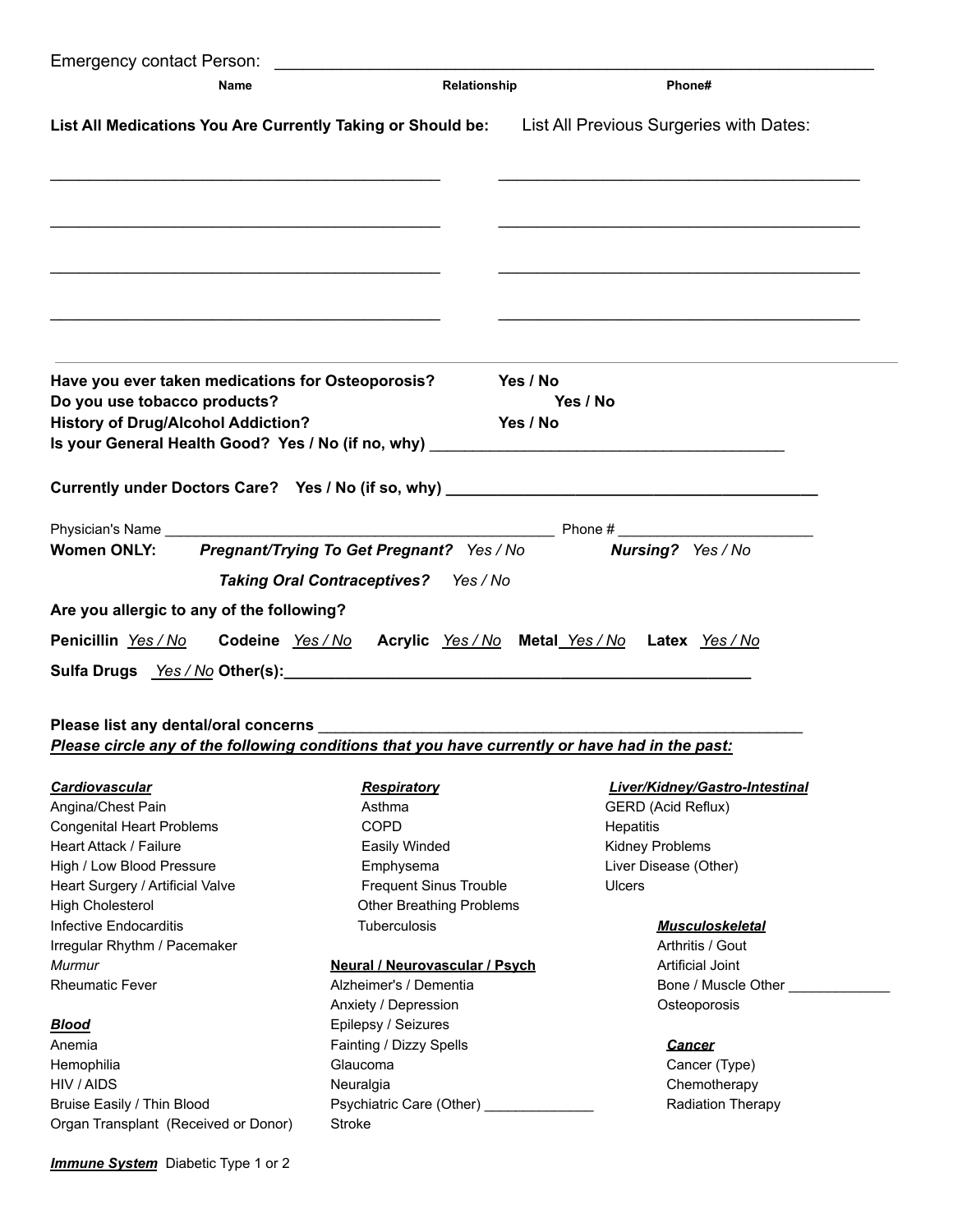| Name                                                                                                                                                                                                                                                    | Relationship                                                                      | Phone#                                                                                                                                             |
|---------------------------------------------------------------------------------------------------------------------------------------------------------------------------------------------------------------------------------------------------------|-----------------------------------------------------------------------------------|----------------------------------------------------------------------------------------------------------------------------------------------------|
|                                                                                                                                                                                                                                                         |                                                                                   | List All Medications You Are Currently Taking or Should be: List All Previous Surgeries with Dates:                                                |
|                                                                                                                                                                                                                                                         |                                                                                   |                                                                                                                                                    |
| <u> 1989 - Johann John Stoff, deutscher Stoffen und der Stoffen und der Stoffen und der Stoffen und der Stoffen u</u><br>Have you ever taken medications for Osteoporosis?<br>Do you use tobacco products?<br><b>History of Drug/Alcohol Addiction?</b> |                                                                                   | Yes / No<br>Yes / No<br>Yes / No<br>Is your General Health Good? Yes / No (if no, why) [19] The Content of the Content of the United States of the |
|                                                                                                                                                                                                                                                         |                                                                                   | Currently under Doctors Care? Yes / No (if so, why) _____________________________                                                                  |
| <b>Women ONLY:</b>                                                                                                                                                                                                                                      | Pregnant/Trying To Get Pregnant? Yes / No<br>Taking Oral Contraceptives? Yes / No | Nursing? Yes / No                                                                                                                                  |
| Are you allergic to any of the following?                                                                                                                                                                                                               |                                                                                   |                                                                                                                                                    |
| Penicillin Yes / No<br>Sulfa Drugs Yes/No Other(s): Manual Communication of the Communication of the Communication of the Communication of the Communication of the Communication of the Communication of the Communication of the Communication of t   |                                                                                   | Codeine Yes/No Acrylic Yes/No Metal Yes/No Latex Yes/No                                                                                            |
| Please circle any of the following conditions that you have currently or have had in the past:                                                                                                                                                          |                                                                                   |                                                                                                                                                    |
| <b>Cardiovascular</b>                                                                                                                                                                                                                                   | Respiratory                                                                       | Liver/Kidney/Gastro-Intestinal                                                                                                                     |
| Angina/Chest Pain                                                                                                                                                                                                                                       | Asthma                                                                            | <b>GERD</b> (Acid Reflux)                                                                                                                          |
| <b>Congenital Heart Problems</b>                                                                                                                                                                                                                        | <b>COPD</b>                                                                       | Hepatitis                                                                                                                                          |
| Heart Attack / Failure                                                                                                                                                                                                                                  | Easily Winded                                                                     | Kidney Problems                                                                                                                                    |
| High / Low Blood Pressure                                                                                                                                                                                                                               | Emphysema                                                                         | Liver Disease (Other)                                                                                                                              |
| Heart Surgery / Artificial Valve                                                                                                                                                                                                                        | <b>Frequent Sinus Trouble</b>                                                     | <b>Ulcers</b>                                                                                                                                      |
| <b>High Cholesterol</b>                                                                                                                                                                                                                                 | <b>Other Breathing Problems</b>                                                   |                                                                                                                                                    |
| <b>Infective Endocarditis</b>                                                                                                                                                                                                                           | Tuberculosis                                                                      | <b>Musculoskeletal</b>                                                                                                                             |
| Irregular Rhythm / Pacemaker                                                                                                                                                                                                                            |                                                                                   | Arthritis / Gout                                                                                                                                   |
| Murmur                                                                                                                                                                                                                                                  | <b>Neural / Neurovascular / Psych</b>                                             | <b>Artificial Joint</b>                                                                                                                            |
| <b>Rheumatic Fever</b>                                                                                                                                                                                                                                  | Alzheimer's / Dementia                                                            | Bone / Muscle Other                                                                                                                                |
|                                                                                                                                                                                                                                                         | Anxiety / Depression                                                              | Osteoporosis                                                                                                                                       |
| <b>Blood</b>                                                                                                                                                                                                                                            | Epilepsy / Seizures                                                               |                                                                                                                                                    |
| Anemia                                                                                                                                                                                                                                                  | Fainting / Dizzy Spells                                                           | <b>Cancer</b>                                                                                                                                      |
| Hemophilia                                                                                                                                                                                                                                              | Glaucoma                                                                          | Cancer (Type)                                                                                                                                      |
| HIV / AIDS                                                                                                                                                                                                                                              | Neuralgia                                                                         | Chemotherapy                                                                                                                                       |
| Bruise Easily / Thin Blood                                                                                                                                                                                                                              | Psychiatric Care (Other) [1994]                                                   | Radiation Therapy                                                                                                                                  |
| Organ Transplant (Received or Donor)                                                                                                                                                                                                                    | <b>Stroke</b>                                                                     |                                                                                                                                                    |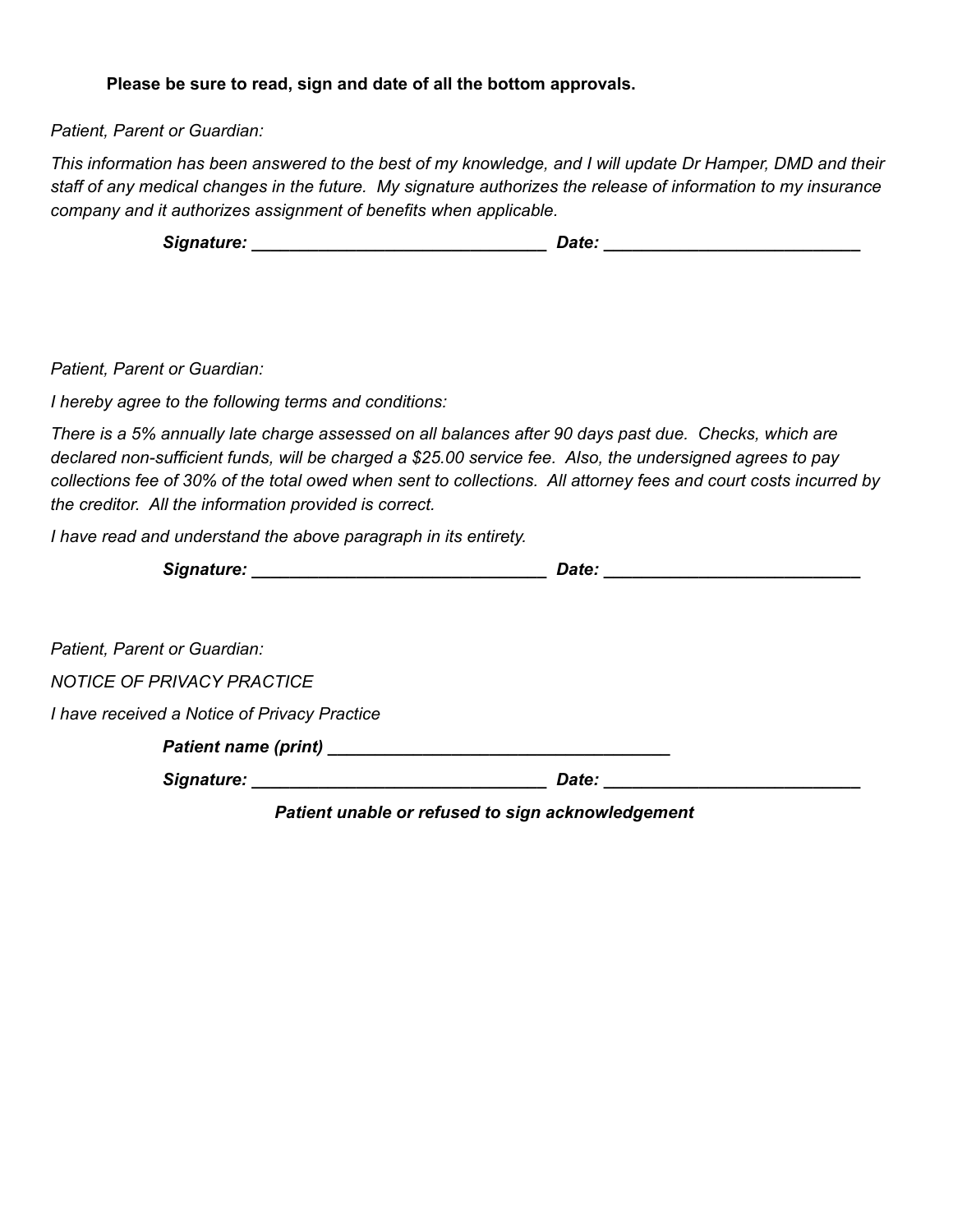## **Please be sure to read, sign and date of all the bottom approvals.**

*Patient, Parent or Guardian:*

This information has been answered to the best of my knowledge, and I will update Dr Hamper, DMD and their staff of any medical changes in the future. My signature authorizes the release of information to my insurance *company and it authorizes assignment of benefits when applicable.*

| Signature: | Date: |  |
|------------|-------|--|
|            |       |  |

*Patient, Parent or Guardian:*

*I hereby agree to the following terms and conditions:*

There is a 5% annually late charge assessed on all balances after 90 days past due. Checks, which are *declared non-sufficient funds, will be charged a \$25.00 service fee. Also, the undersigned agrees to pay* collections fee of 30% of the total owed when sent to collections. All attorney fees and court costs incurred by *the creditor. All the information provided is correct.*

*I have read and understand the above paragraph in its entirety.*

| Signature: | vate. |
|------------|-------|
|            |       |

| Patient, Parent or Guardian:                                                                                  |       |  |
|---------------------------------------------------------------------------------------------------------------|-------|--|
| <b>NOTICE OF PRIVACY PRACTICE</b>                                                                             |       |  |
| I have received a Notice of Privacy Practice                                                                  |       |  |
|                                                                                                               |       |  |
| Signature: Management Contractor Contractor Contractor Contractor Contractor Contractor Contractor Contractor | Date: |  |

*Patient unable or refused to sign acknowledgement*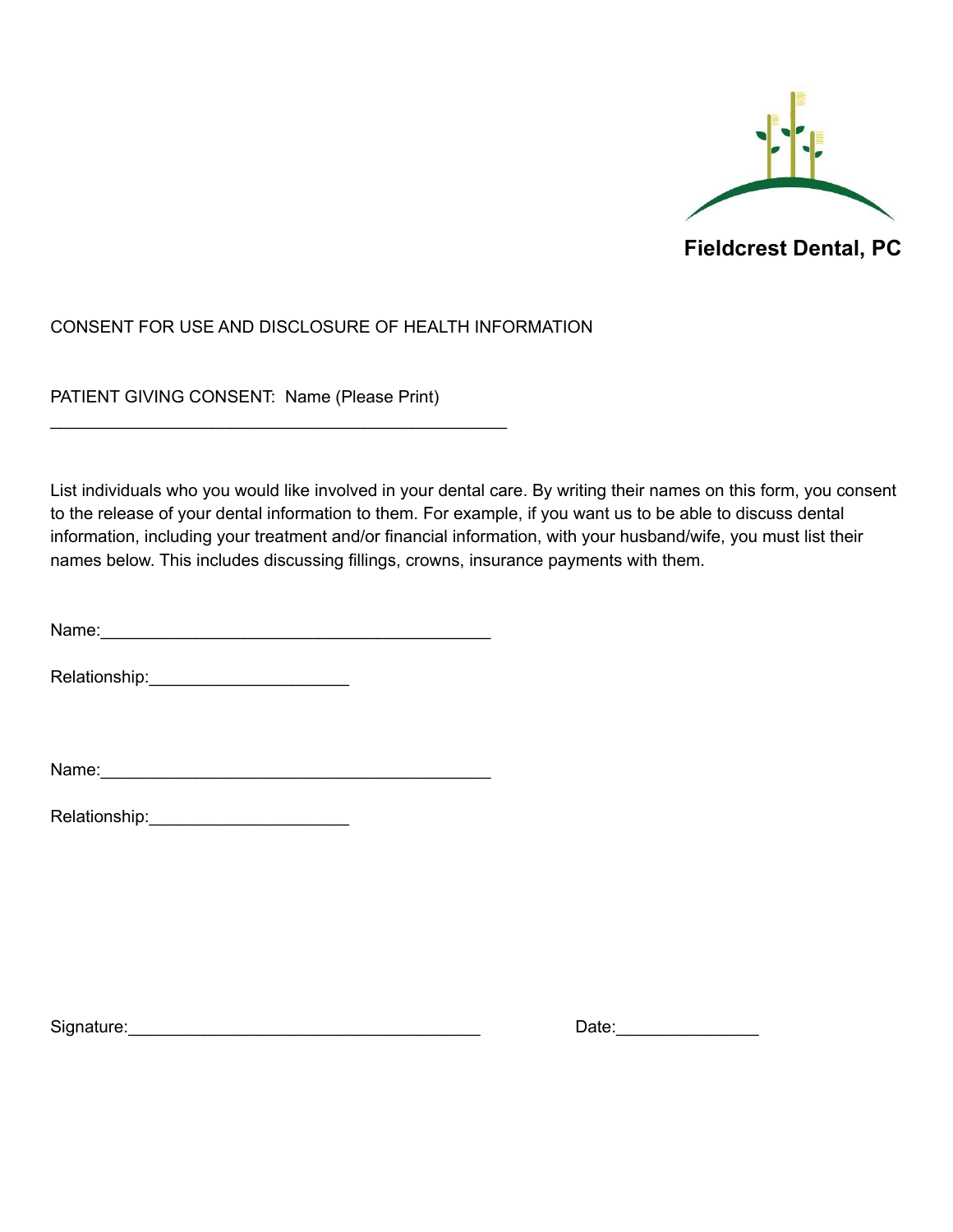

## CONSENT FOR USE AND DISCLOSURE OF HEALTH INFORMATION

PATIENT GIVING CONSENT: Name (Please Print)

\_\_\_\_\_\_\_\_\_\_\_\_\_\_\_\_\_\_\_\_\_\_\_\_\_\_\_\_\_\_\_\_\_\_\_\_\_\_\_\_\_\_\_\_\_\_\_\_

List individuals who you would like involved in your dental care. By writing their names on this form, you consent to the release of your dental information to them. For example, if you want us to be able to discuss dental information, including your treatment and/or financial information, with your husband/wife, you must list their names below. This includes discussing fillings, crowns, insurance payments with them.

Name:\_\_\_\_\_\_\_\_\_\_\_\_\_\_\_\_\_\_\_\_\_\_\_\_\_\_\_\_\_\_\_\_\_\_\_\_\_\_\_\_\_

Relationship: **Example 20** 

Name:

Relationship:

Signature:\_\_\_\_\_\_\_\_\_\_\_\_\_\_\_\_\_\_\_\_\_\_\_\_\_\_\_\_\_\_\_\_\_\_\_\_\_ Date:\_\_\_\_\_\_\_\_\_\_\_\_\_\_\_